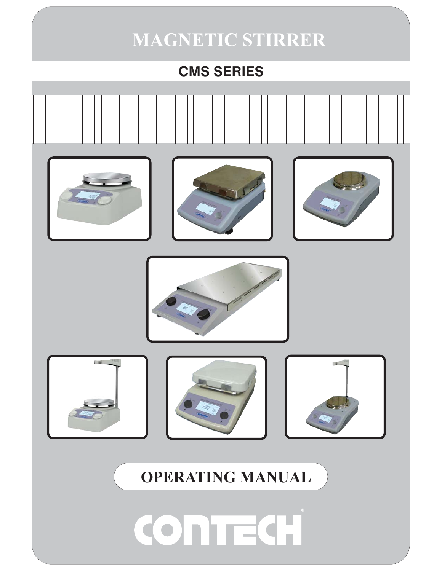## **MAGNETIC STIRRER**

**CMS SERIES**  $-10$ **OPERATING MANUALTEC** CO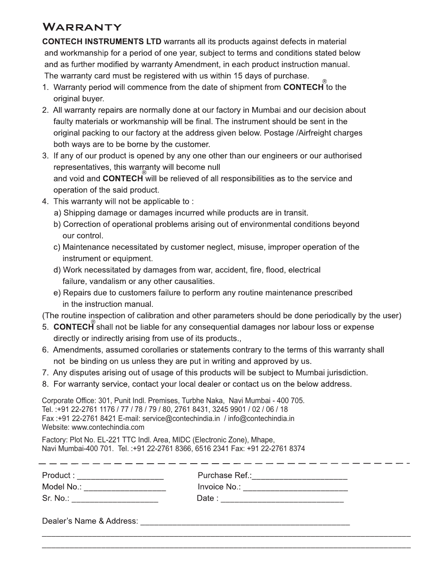## WARRANTY

**CONTECH INSTRUMENTS LTD** warrants all its products against defects in material and workmanship for a period of one year, subject to terms and conditions stated below and as further modified by warranty Amendment, in each product instruction manual. The warranty card must be registered with us within 15 days of purchase.

- 1. Warranty period will commence from the date of shipment from **CONTECH** to the original buyer.
- 2. All warranty repairs are normally done at our factory in Mumbai and our decision about faulty materials or workmanship will be final. The instrument should be sent in the original packing to our factory at the address given below. Postage /Airfreight charges both ways are to be borne by the customer.
- 3. If any of our product is opened by any one other than our engineers or our authorised representatives, this warranty will become null and void and CONTECH will be relieved of all responsibilities as to the service and operation of the said product.
- 4. This warranty will not be applicable to:
	- a) Shipping damage or damages incurred while products are in transit.
	- b) Correction of operational problems arising out of environmental conditions beyond our control.
	- c) Maintenance necessitated by customer neglect, misuse, improper operation of the instrument or equipment.
	- d) Work necessitated by damages from war, accident, fire, flood, electrical failure, vandalism or any other causalities.
	- e) Repairs due to customers failure to perform any routine maintenance prescribed in the instruction manual.

(The routine inspection of calibration and other parameters should be done periodically by the user)

- 5. CONTECH shall not be liable for any consequential damages nor labour loss or expense directly or indirectly arising from use of its products.,
- 6. Amendments, assumed corollaries or statements contrary to the terms of this warranty shall not be binding on us unless they are put in writing and approved by us.
- 7. Any disputes arising out of usage of this products will be subject to Mumbai jurisdiction.
- 8. For warranty service, contact your local dealer or contact us on the below address.

Corporate Office: 301, Punit Indl. Premises, Turbhe Naka, Navi Mumbai - 400 705. Tel.: +91 22-2761 1176 / 77 / 78 / 79 / 80, 2761 8431, 3245 9901 / 02 / 06 / 18 Fax:+91 22-2761 8421 E-mail: service@contechindia.in / info@contechindia.in Website: www.contechindia.com

Factory: Plot No. EL-221 TTC Indl. Area, MIDC (Electronic Zone), Mhape, Navi Mumbai-400 701. Tel.: +91 22-2761 8366, 6516 2341 Fax: +91 22-2761 8374

| Product:                 | Purchase Ref.: |
|--------------------------|----------------|
| Model No.:               | Invoice No.:   |
| Sr. No.:                 | Date :         |
| Dealer's Name & Address: |                |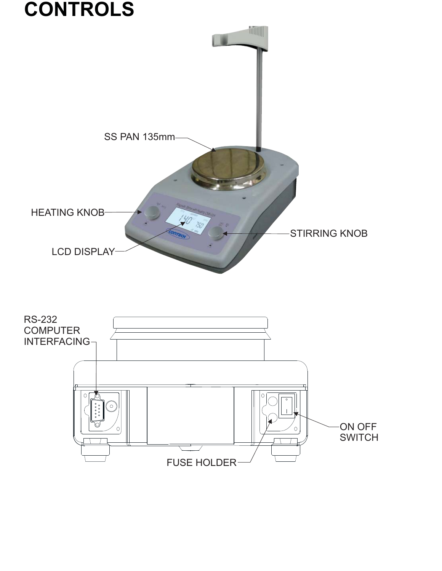

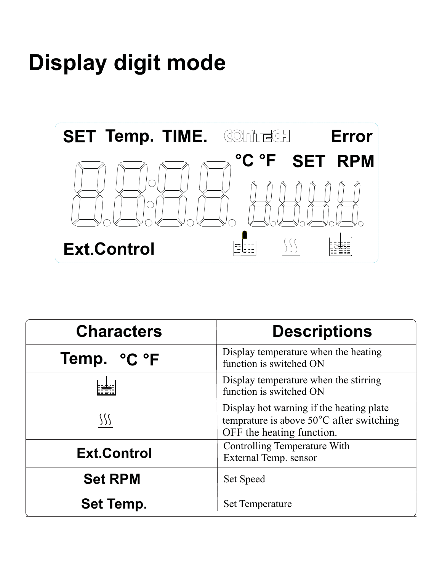## **Display digit mode**



| <b>Characters</b>  | <b>Descriptions</b>                                                                                               |
|--------------------|-------------------------------------------------------------------------------------------------------------------|
| Temp. °C °F        | Display temperature when the heating<br>function is switched ON                                                   |
|                    | Display temperature when the stirring<br>function is switched ON                                                  |
|                    | Display hot warning if the heating plate<br>temprature is above 50°C after switching<br>OFF the heating function. |
| <b>Ext.Control</b> | <b>Controlling Temperature With</b><br>External Temp. sensor                                                      |
| <b>Set RPM</b>     | <b>Set Speed</b>                                                                                                  |
| <b>Set Temp.</b>   | <b>Set Temperature</b>                                                                                            |